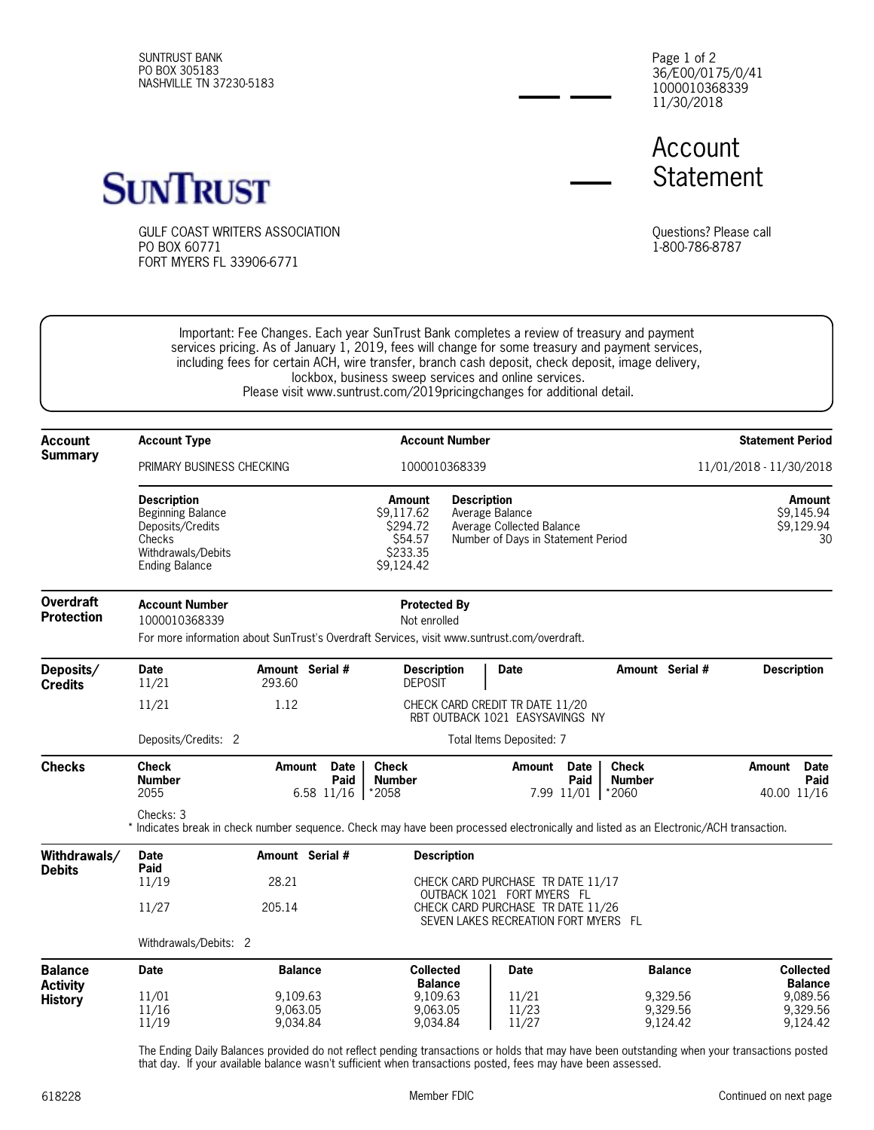SUNTRUST BANK PO BOX 305183 NASHVILLE TN 37230-5183 36/E00/0175/0/41 1000010368339 11/30/2018 Page 1 of 2

Account **Statement** 



GULF COAST WRITERS ASSOCIATION PO BOX 60771 FORT MYERS FL 33906-6771

Questions? Please call 1-800-786-8787

Important: Fee Changes. Each year SunTrust Bank completes a review of treasury and payment services pricing. As of January 1, 2019, fees will change for some treasury and payment services, including fees for certain ACH, wire transfer, branch cash deposit, check deposit, image delivery, lockbox, business sweep services and online services. Please visit www.suntrust.com/2019pricingchanges for additional detail.

| <b>Account</b><br><b>Summary</b>                    | <b>Account Type</b>                                                                                                                                                          |                                             | <b>Account Number</b><br>1000010368339                                                                                                                                            |                                                                    |                                        | <b>Statement Period</b><br>11/01/2018 - 11/30/2018 |                                                     |
|-----------------------------------------------------|------------------------------------------------------------------------------------------------------------------------------------------------------------------------------|---------------------------------------------|-----------------------------------------------------------------------------------------------------------------------------------------------------------------------------------|--------------------------------------------------------------------|----------------------------------------|----------------------------------------------------|-----------------------------------------------------|
|                                                     | PRIMARY BUSINESS CHECKING                                                                                                                                                    |                                             |                                                                                                                                                                                   |                                                                    |                                        |                                                    |                                                     |
|                                                     | <b>Description</b><br><b>Beginning Balance</b><br>Deposits/Credits<br>Checks<br>Withdrawals/Debits<br><b>Ending Balance</b>                                                  |                                             | <b>Description</b><br>Amount<br>\$9.117.62<br>Average Balance<br>\$294.72<br>Average Collected Balance<br>\$54.57<br>Number of Days in Statement Period<br>\$233.35<br>\$9,124.42 |                                                                    |                                        | Amount<br>\$9,145.94<br>\$9,129.94<br>30           |                                                     |
| <b>Overdraft</b><br><b>Protection</b>               | <b>Account Number</b><br><b>Protected By</b><br>1000010368339<br>Not enrolled<br>For more information about SunTrust's Overdraft Services, visit www.suntrust.com/overdraft. |                                             |                                                                                                                                                                                   |                                                                    |                                        |                                                    |                                                     |
| Deposits/<br><b>Credits</b>                         | <b>Date</b>                                                                                                                                                                  | Amount Serial #                             | <b>Description</b>                                                                                                                                                                | <b>Date</b>                                                        | Amount Serial #                        |                                                    | <b>Description</b>                                  |
|                                                     | 11/21<br>11/21                                                                                                                                                               | 293.60<br>1.12                              | <b>DEPOSIT</b>                                                                                                                                                                    | CHECK CARD CREDIT TR DATE 11/20<br>RBT OUTBACK 1021 EASYSAVINGS NY |                                        |                                                    |                                                     |
|                                                     | Deposits/Credits: 2                                                                                                                                                          | Total Items Deposited: 7                    |                                                                                                                                                                                   |                                                                    |                                        |                                                    |                                                     |
| <b>Checks</b>                                       | Check<br><b>Number</b><br>2055                                                                                                                                               | Amount<br><b>Date</b><br>Paid<br>6.58 11/16 | <b>Check</b><br><b>Number</b><br>*2058                                                                                                                                            | Amount<br><b>Date</b><br>Paid<br>7.99 11/01                        | <b>Check</b><br><b>Number</b><br>*2060 |                                                    | <b>Date</b><br><b>Amount</b><br>Paid<br>40.00 11/16 |
|                                                     | Checks: 3<br>* Indicates break in check number sequence. Check may have been processed electronically and listed as an Electronic/ACH transaction.                           |                                             |                                                                                                                                                                                   |                                                                    |                                        |                                                    |                                                     |
| Withdrawals/<br><b>Debits</b>                       | <b>Date</b><br>Paid<br>11/19                                                                                                                                                 | Amount Serial #<br>28.21                    | <b>Description</b>                                                                                                                                                                | CHECK CARD PURCHASE TR DATE 11/17                                  |                                        |                                                    |                                                     |
|                                                     | 11/27                                                                                                                                                                        | 205.14                                      | OUTBACK 1021 FORT MYERS FL<br>CHECK CARD PURCHASE TR DATE 11/26<br>SEVEN LAKES RECREATION FORT MYERS FL                                                                           |                                                                    |                                        |                                                    |                                                     |
|                                                     | Withdrawals/Debits: 2                                                                                                                                                        |                                             |                                                                                                                                                                                   |                                                                    |                                        |                                                    |                                                     |
| <b>Balance</b><br><b>Activity</b><br><b>History</b> | <b>Date</b>                                                                                                                                                                  | <b>Balance</b>                              | <b>Collected</b><br><b>Balance</b>                                                                                                                                                | <b>Date</b>                                                        |                                        | <b>Balance</b>                                     | <b>Collected</b><br><b>Balance</b>                  |
|                                                     | 11/01<br>11/16<br>11/19                                                                                                                                                      | 9.109.63<br>9.063.05<br>9,034.84            | 9.109.63<br>9,063.05<br>9,034.84                                                                                                                                                  | 11/21<br>11/23<br>11/27                                            |                                        | 9,329.56<br>9,329.56<br>9,124.42                   | 9,089.56<br>9,329.56<br>9,124.42                    |

The Ending Daily Balances provided do not reflect pending transactions or holds that may have been outstanding when your transactions posted that day. If your available balance wasn't sufficient when transactions posted, fees may have been assessed.